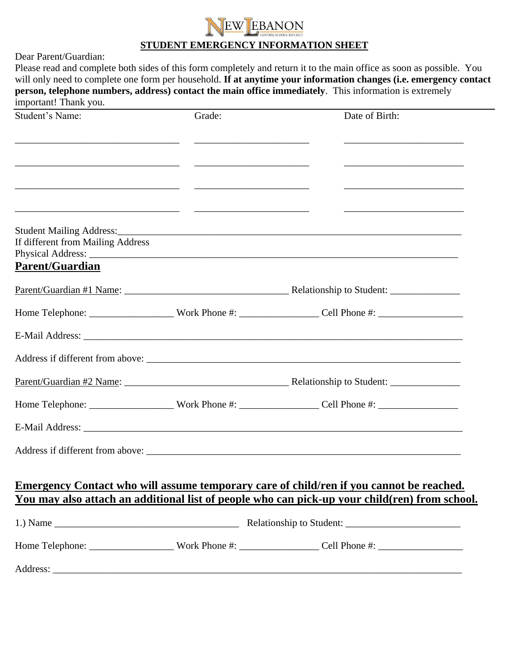## EBANON

## **STUDENT EMERGENCY INFORMATION SHEET**

Dear Parent/Guardian:

Please read and complete both sides of this form completely and return it to the main office as soon as possible. You will only need to complete one form per household. **If at anytime your information changes (i.e. emergency contact person, telephone numbers, address) contact the main office immediately**. This information is extremely important! Thank you.

| Student's Name:                   | Grade: | Date of Birth:                                                                                                                                                                                  |  |
|-----------------------------------|--------|-------------------------------------------------------------------------------------------------------------------------------------------------------------------------------------------------|--|
|                                   |        | the control of the control of the control of the control of the control of the control of                                                                                                       |  |
|                                   |        |                                                                                                                                                                                                 |  |
|                                   |        |                                                                                                                                                                                                 |  |
|                                   |        |                                                                                                                                                                                                 |  |
|                                   |        |                                                                                                                                                                                                 |  |
| If different from Mailing Address |        |                                                                                                                                                                                                 |  |
| <b>Parent/Guardian</b>            |        |                                                                                                                                                                                                 |  |
|                                   |        |                                                                                                                                                                                                 |  |
|                                   |        | Home Telephone: _________________________Work Phone #: _______________________Cell Phone #: __________________                                                                                  |  |
|                                   |        |                                                                                                                                                                                                 |  |
|                                   |        |                                                                                                                                                                                                 |  |
|                                   |        |                                                                                                                                                                                                 |  |
|                                   |        | Home Telephone: _________________________Work Phone #: _______________________Cell Phone #: __________________                                                                                  |  |
|                                   |        |                                                                                                                                                                                                 |  |
|                                   |        |                                                                                                                                                                                                 |  |
|                                   |        |                                                                                                                                                                                                 |  |
|                                   |        | Emergency Contact who will assume temporary care of child/ren if you cannot be reached.<br><u>You may also attach an additional list of people who can pick-up your child(ren) from school.</u> |  |
|                                   |        |                                                                                                                                                                                                 |  |
|                                   |        | Home Telephone: __________________________Work Phone #: ____________________Cell Phone #: ____________________                                                                                  |  |
|                                   |        |                                                                                                                                                                                                 |  |